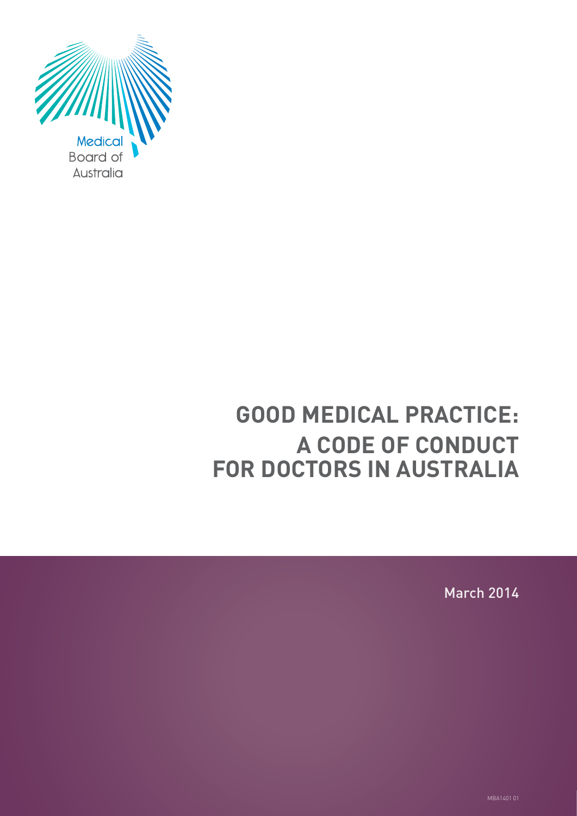

# **GOOD MEDICAL PRACTICE: A CODE OF CONDUCT FOR DOCTORS IN AUSTRALIA**

March 2014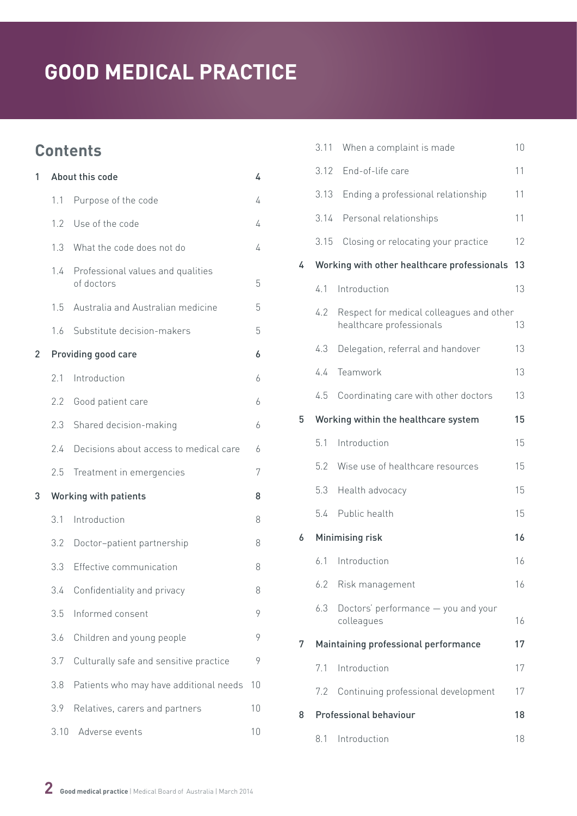# **Contents**

| 1              |               | About this code                                 | 4  |
|----------------|---------------|-------------------------------------------------|----|
|                | 1.1           | Purpose of the code                             | 4  |
|                | $1.2^{\circ}$ | Use of the code                                 | 4  |
|                | $1.3 -$       | What the code does not do                       | 4  |
|                | 1.4           | Professional values and qualities<br>of doctors | 5  |
|                | 1.5           | Australia and Australian medicine               | 5  |
|                | 1.6           | Substitute decision-makers                      | 5  |
| $\overline{2}$ |               | Providing good care                             | 6  |
|                | 2.1           | Introduction                                    | 6  |
|                | 2.2           | Good patient care                               | 6  |
|                | 2.3           | Shared decision-making                          | 6  |
|                | 2.4           | Decisions about access to medical care          | 6  |
|                | 2.5           | Treatment in emergencies                        | 7  |
| 3              |               | <b>Working with patients</b>                    | 8  |
|                | 3.1           | Introduction                                    | 8  |
|                | 3.2           | Doctor-patient partnership                      | 8  |
|                | 3.3           | Effective communication                         | 8  |
|                | 3.4           | Confidentiality and privacy                     | 8  |
|                | 3.5           | Informed consent                                | 9  |
|                | 3.6           | Children and young people                       | 9  |
|                | 3.7           | Culturally safe and sensitive practice          | 9  |
|                | 3.8           | Patients who may have additional needs          | 10 |
|                | 3.9           | Relatives, carers and partners                  | 10 |
|                | 3.10          | Adverse events                                  | 10 |

|   | 3.11 | When a complaint is made                                             | 10 |
|---|------|----------------------------------------------------------------------|----|
|   | 3.12 | End-of-life care                                                     | 11 |
|   | 3.13 | Ending a professional relationship                                   | 11 |
|   | 3.14 | Personal relationships                                               | 11 |
|   | 3.15 | Closing or relocating your practice                                  | 12 |
| 4 |      | Working with other healthcare professionals                          | 13 |
|   | 4.1  | Introduction                                                         | 13 |
|   | 4.2  | Respect for medical colleagues and other<br>healthcare professionals | 13 |
|   | 4.3  | Delegation, referral and handover                                    | 13 |
|   | 4.4  | Teamwork                                                             | 13 |
|   | 4.5  | Coordinating care with other doctors                                 | 13 |
| 5 |      | Working within the healthcare system                                 | 15 |
|   | 5.1  | Introduction                                                         | 15 |
|   | 5.2  | Wise use of healthcare resources                                     | 15 |
|   | 5.3  | Health advocacy                                                      | 15 |
|   | 5.4  | Public health                                                        | 15 |
| 6 |      | Minimising risk                                                      | 16 |
|   | 6.1  | Introduction                                                         | 16 |
|   |      | 6.2 Risk management                                                  | 16 |
|   | 6.3  | Doctors' performance - you and your<br>colleagues                    | 16 |
| 7 |      | Maintaining professional performance                                 | 17 |
|   | 71   | Introduction                                                         | 17 |
|   | 7.2  | Continuing professional development                                  | 17 |
| 8 |      | <b>Professional behaviour</b>                                        | 18 |
|   | 8.1  | Introduction                                                         | 18 |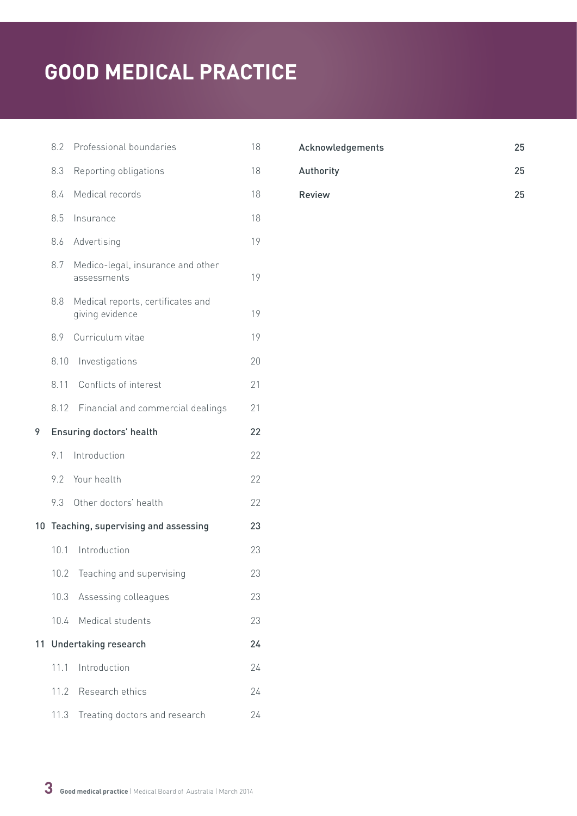|    | 8.2             | Professional boundaries                              | 18 |
|----|-----------------|------------------------------------------------------|----|
|    | 8.3             | Reporting obligations                                | 18 |
|    | 8.4             | Medical records                                      | 18 |
|    | 8.5             | Insurance                                            | 18 |
|    | 8.6             | Advertising                                          | 19 |
|    | 8.7             | Medico-legal, insurance and other<br>assessments     | 19 |
|    | 8.8             | Medical reports, certificates and<br>giving evidence | 19 |
|    | 8.9             | Curriculum vitae                                     | 19 |
|    | 8.10            | Investigations                                       | 20 |
|    | 8.11            | Conflicts of interest                                | 21 |
|    |                 | 8.12 Financial and commercial dealings               | 21 |
| 9  |                 | Ensuring doctors' health                             | 22 |
|    | 9.1             | Introduction                                         | 22 |
|    | 9.2             | Your health                                          | 22 |
|    | 9.3             | Other doctors' health                                | 22 |
|    |                 | 10 Teaching, supervising and assessing               | 23 |
|    | 10 <sub>1</sub> | Introduction                                         | 23 |
|    | 10.2            | Teaching and supervising                             | 23 |
|    | 10.3            | Assessing colleagues                                 | 23 |
|    | 10.4            | Medical students                                     | 23 |
| 11 |                 | <b>Undertaking research</b>                          | 24 |
|    | 11.1            | Introduction                                         | 24 |
|    | 11.2            | Research ethics                                      | 24 |
|    | 11.3            | Treating doctors and research                        | 24 |

| Acknowledgements | 25 |
|------------------|----|
| Authority        | 25 |
| <b>Review</b>    | 25 |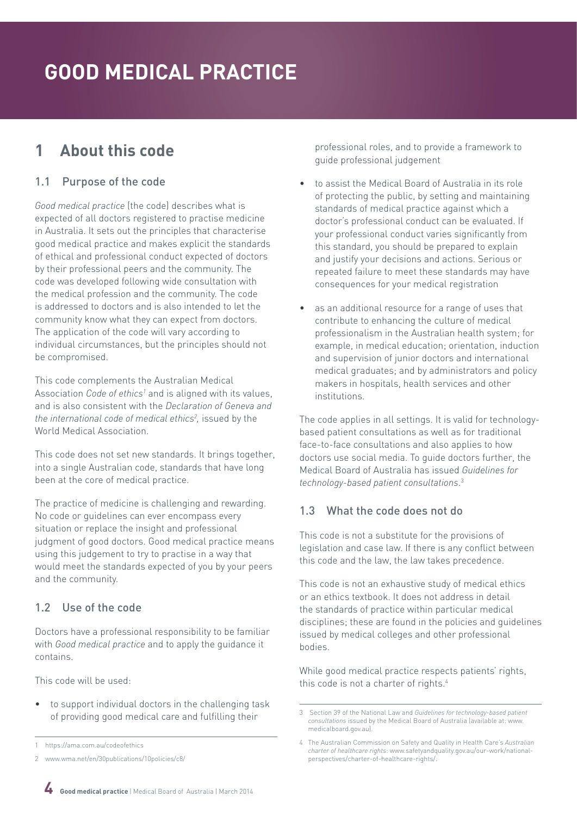# <span id="page-3-0"></span>**1 About this code**

# 1.1 Purpose of the code

*Good medical practice* (the code) describes what is expected of all doctors registered to practise medicine in Australia. It sets out the principles that characterise good medical practice and makes explicit the standards of ethical and professional conduct expected of doctors by their professional peers and the community. The code was developed following wide consultation with the medical profession and the community. The code is addressed to doctors and is also intended to let the community know what they can expect from doctors. The application of the code will vary according to individual circumstances, but the principles should not be compromised.

This code complements the Australian Medical Association *Code of ethics<sup>1</sup>* and is aligned with its values, and is also consistent with the *Declaration of Geneva and the international code of medical ethics2 ,* issued by the World Medical Association.

This code does not set new standards. It brings together, into a single Australian code, standards that have long been at the core of medical practice.

The practice of medicine is challenging and rewarding. No code or guidelines can ever encompass every situation or replace the insight and professional judgment of good doctors. Good medical practice means using this judgement to try to practise in a way that would meet the standards expected of you by your peers and the community.

# 1.2 Use of the code

Doctors have a professional responsibility to be familiar with *Good medical practice* and to apply the guidance it contains.

This code will be used:

to support individual doctors in the challenging task of providing good medical care and fulfilling their

professional roles, and to provide a framework to guide professional judgement

- to assist the Medical Board of Australia in its role of protecting the public, by setting and maintaining standards of medical practice against which a doctor's professional conduct can be evaluated. If your professional conduct varies significantly from this standard, you should be prepared to explain and justify your decisions and actions. Serious or repeated failure to meet these standards may have consequences for your medical registration
- as an additional resource for a range of uses that contribute to enhancing the culture of medical professionalism in the Australian health system; for example, in medical education; orientation, induction and supervision of junior doctors and international medical graduates; and by administrators and policy makers in hospitals, health services and other institutions.

The code applies in all settings. It is valid for technologybased patient consultations as well as for traditional face-to-face consultations and also applies to how doctors use social media. To guide doctors further, the Medical Board of Australia has issued *Guidelines for technology-based patient consultations*. 3

# 1.3 What the code does not do

This code is not a substitute for the provisions of legislation and case law. If there is any conflict between this code and the law, the law takes precedence.

This code is not an exhaustive study of medical ethics or an ethics textbook. It does not address in detail the standards of practice within particular medical disciplines; these are found in the policies and guidelines issued by medical colleges and other professional bodies.

While good medical practice respects patients' rights, this code is not a charter of rights.<sup>4</sup>



<https://ama.com.au/codeofethics>

<sup>2</sup> [www.wma.net/en/30publications/10policies/c8/](http://www.wma.net/en/30publications/10policies/c8/)

<sup>3</sup> Section 39 of the National Law and *Guidelines for technology-based patient consultations* issued by the Medical Board of Australia (available at: [www.](http://www.medicalboard.gov.au) [medicalboard.gov.au](http://www.medicalboard.gov.au)).

<sup>4</sup> The Australian Commission on Safety and Quality in Health Care's *Australian charter of healthcare rights*: [www.safetyandquality.gov.au/our-work/national](http://www.safetyandquality.gov.au/our-work/national-perspectives/charter-of-healthcare-rights/)[perspectives/charter-of-healthcare-rights/](http://www.safetyandquality.gov.au/our-work/national-perspectives/charter-of-healthcare-rights/).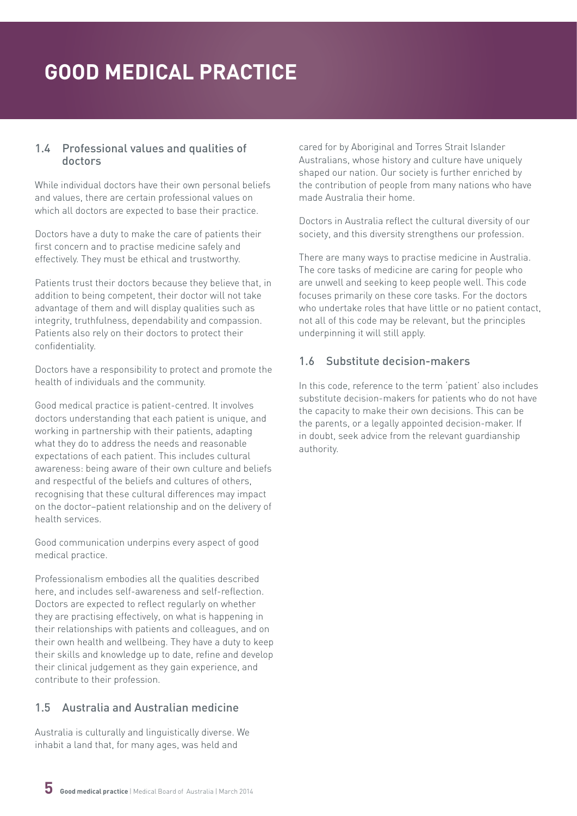#### <span id="page-4-0"></span>1.4 Professional values and qualities of doctors

While individual doctors have their own personal beliefs and values, there are certain professional values on which all doctors are expected to base their practice.

Doctors have a duty to make the care of patients their first concern and to practise medicine safely and effectively. They must be ethical and trustworthy.

Patients trust their doctors because they believe that, in addition to being competent, their doctor will not take advantage of them and will display qualities such as integrity, truthfulness, dependability and compassion. Patients also rely on their doctors to protect their confidentiality.

Doctors have a responsibility to protect and promote the health of individuals and the community.

Good medical practice is patient-centred. It involves doctors understanding that each patient is unique, and working in partnership with their patients, adapting what they do to address the needs and reasonable expectations of each patient. This includes cultural awareness: being aware of their own culture and beliefs and respectful of the beliefs and cultures of others, recognising that these cultural differences may impact on the doctor–patient relationship and on the delivery of health services.

Good communication underpins every aspect of good medical practice.

Professionalism embodies all the qualities described here, and includes self-awareness and self-reflection. Doctors are expected to reflect regularly on whether they are practising effectively, on what is happening in their relationships with patients and colleagues, and on their own health and wellbeing. They have a duty to keep their skills and knowledge up to date, refine and develop their clinical judgement as they gain experience, and contribute to their profession.

# 1.5 Australia and Australian medicine

Australia is culturally and linguistically diverse. We inhabit a land that, for many ages, was held and

cared for by Aboriginal and Torres Strait Islander Australians, whose history and culture have uniquely shaped our nation. Our society is further enriched by the contribution of people from many nations who have made Australia their home.

Doctors in Australia reflect the cultural diversity of our society, and this diversity strengthens our profession.

There are many ways to practise medicine in Australia. The core tasks of medicine are caring for people who are unwell and seeking to keep people well. This code focuses primarily on these core tasks. For the doctors who undertake roles that have little or no patient contact, not all of this code may be relevant, but the principles underpinning it will still apply.

#### 1.6 Substitute decision-makers

In this code, reference to the term 'patient' also includes substitute decision-makers for patients who do not have the capacity to make their own decisions. This can be the parents, or a legally appointed decision-maker. If in doubt, seek advice from the relevant guardianship authority.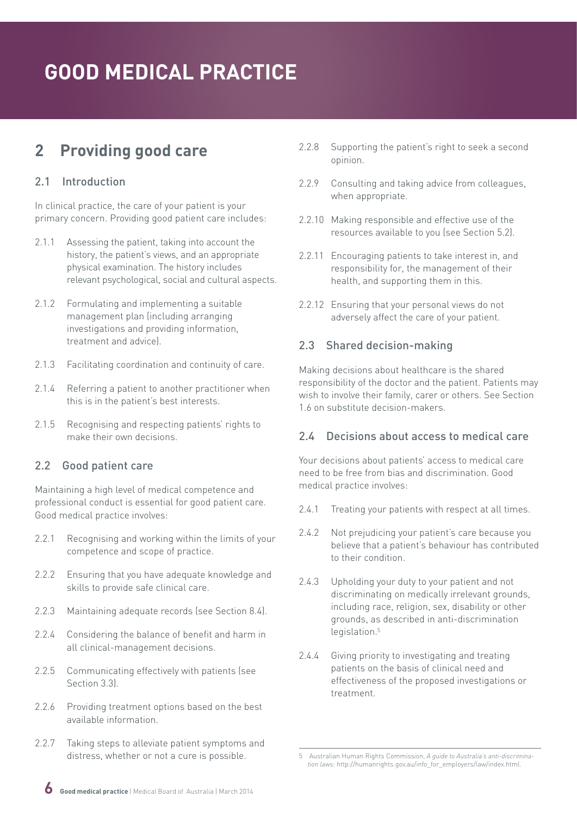# <span id="page-5-0"></span>**2 Providing good care**

## 2.1 Introduction

In clinical practice, the care of your patient is your primary concern. Providing good patient care includes:

- 2.1.1 Assessing the patient, taking into account the history, the patient's views, and an appropriate physical examination. The history includes relevant psychological, social and cultural aspects.
- 2.1.2 Formulating and implementing a suitable management plan (including arranging investigations and providing information, treatment and advice).
- 2.1.3 Facilitating coordination and continuity of care.
- 2.1.4 Referring a patient to another practitioner when this is in the patient's best interests.
- 2.1.5 Recognising and respecting patients' rights to make their own decisions.

# 2.2 Good patient care

Maintaining a high level of medical competence and professional conduct is essential for good patient care. Good medical practice involves:

- 2.2.1 Recognising and working within the limits of your competence and scope of practice.
- 2.2.2 Ensuring that you have adequate knowledge and skills to provide safe clinical care.
- 2.2.3 Maintaining adequate records (see Section 8.4).
- 2.2.4 Considering the balance of benefit and harm in all clinical-management decisions.
- 2.2.5 Communicating effectively with patients (see Section 3.3).
- 2.2.6 Providing treatment options based on the best available information.
- 2.2.7 Taking steps to alleviate patient symptoms and distress, whether or not a cure is possible.
- 2.2.8 Supporting the patient's right to seek a second opinion.
- 2.2.9 Consulting and taking advice from colleagues, when appropriate.
- 2.2.10 Making responsible and effective use of the resources available to you (see Section 5.2).
- 2.2.11 Encouraging patients to take interest in, and responsibility for, the management of their health, and supporting them in this.
- 2.2.12 Ensuring that your personal views do not adversely affect the care of your patient.

## 2.3 Shared decision-making

Making decisions about healthcare is the shared responsibility of the doctor and the patient. Patients may wish to involve their family, carer or others. See Section 1.6 on substitute decision-makers.

## 2.4 Decisions about access to medical care

Your decisions about patients' access to medical care need to be free from bias and discrimination. Good medical practice involves:

- 2.4.1 Treating your patients with respect at all times.
- 2.4.2 Not prejudicing your patient's care because you believe that a patient's behaviour has contributed to their condition.
- 2.4.3 Upholding your duty to your patient and not discriminating on medically irrelevant grounds, including race, religion, sex, disability or other grounds, as described in anti-discrimination legislation.<sup>5</sup>
- 2.4.4 Giving priority to investigating and treating patients on the basis of clinical need and effectiveness of the proposed investigations or treatment.

<sup>5</sup> Australian Human Rights Commission, *A guide to Australia's anti-discrimination laws*: [http://humanrights.gov.au/info\\_for\\_employers/law/index.html](http://humanrights.gov.au/info_for_employers/law/index.html).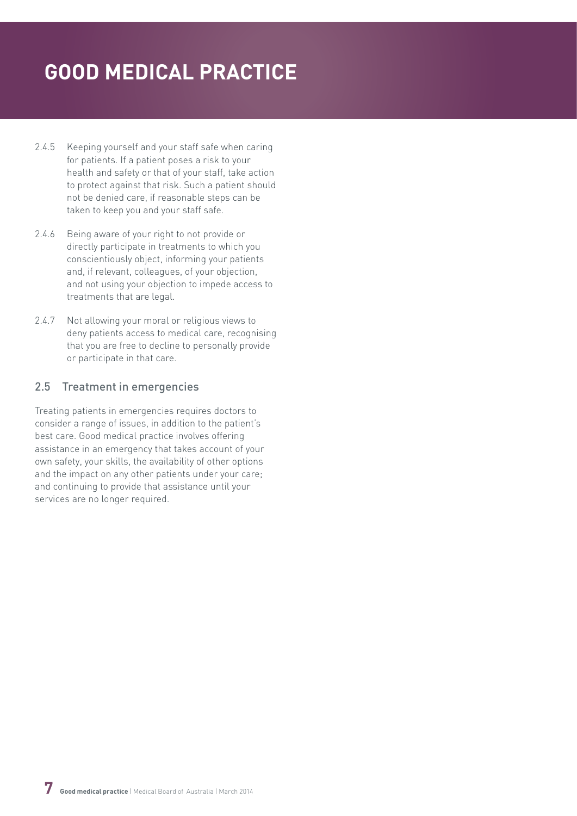- <span id="page-6-0"></span>2.4.5 Keeping yourself and your staff safe when caring for patients. If a patient poses a risk to your health and safety or that of your staff, take action to protect against that risk. Such a patient should not be denied care, if reasonable steps can be taken to keep you and your staff safe.
- 2.4.6 Being aware of your right to not provide or directly participate in treatments to which you conscientiously object, informing your patients and, if relevant, colleagues, of your objection, and not using your objection to impede access to treatments that are legal.
- 2.4.7 Not allowing your moral or religious views to deny patients access to medical care, recognising that you are free to decline to personally provide or participate in that care.

## 2.5 Treatment in emergencies

Treating patients in emergencies requires doctors to consider a range of issues, in addition to the patient's best care. Good medical practice involves offering assistance in an emergency that takes account of your own safety, your skills, the availability of other options and the impact on any other patients under your care; and continuing to provide that assistance until your services are no longer required.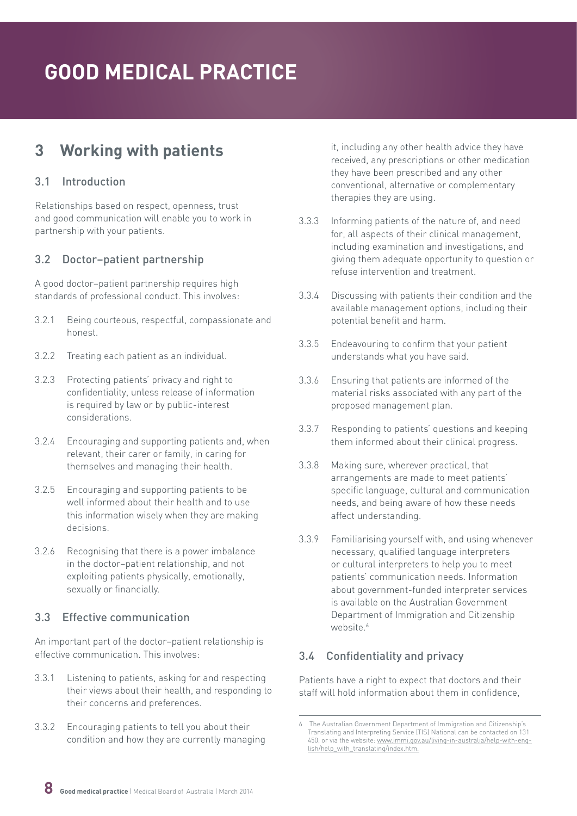# <span id="page-7-0"></span>**3 Working with patients**

## 3.1 Introduction

Relationships based on respect, openness, trust and good communication will enable you to work in partnership with your patients.

#### 3.2 Doctor–patient partnership

A good doctor–patient partnership requires high standards of professional conduct. This involves:

- 3.2.1 Being courteous, respectful, compassionate and honest.
- 3.2.2 Treating each patient as an individual.
- 3.2.3 Protecting patients' privacy and right to confidentiality, unless release of information is required by law or by public-interest considerations.
- 3.2.4 Encouraging and supporting patients and, when relevant, their carer or family, in caring for themselves and managing their health.
- 3.2.5 Encouraging and supporting patients to be well informed about their health and to use this information wisely when they are making decisions.
- 3.2.6 Recognising that there is a power imbalance in the doctor–patient relationship, and not exploiting patients physically, emotionally, sexually or financially.

## 3.3 Effective communication

An important part of the doctor–patient relationship is effective communication. This involves:

- 3.3.1 Listening to patients, asking for and respecting their views about their health, and responding to their concerns and preferences.
- 3.3.2 Encouraging patients to tell you about their condition and how they are currently managing

it, including any other health advice they have received, any prescriptions or other medication they have been prescribed and any other conventional, alternative or complementary therapies they are using.

- 3.3.3 Informing patients of the nature of, and need for, all aspects of their clinical management, including examination and investigations, and giving them adequate opportunity to question or refuse intervention and treatment.
- 3.3.4 Discussing with patients their condition and the available management options, including their potential benefit and harm.
- 3.3.5 Endeavouring to confirm that your patient understands what you have said.
- 3.3.6 Ensuring that patients are informed of the material risks associated with any part of the proposed management plan.
- 3.3.7 Responding to patients' questions and keeping them informed about their clinical progress.
- 3.3.8 Making sure, wherever practical, that arrangements are made to meet patients' specific language, cultural and communication needs, and being aware of how these needs affect understanding.
- 3.3.9 Familiarising yourself with, and using whenever necessary, qualified language interpreters or cultural interpreters to help you to meet patients' communication needs. Information about government-funded interpreter services is available on the Australian Government Department of Immigration and Citizenship website<sup>6</sup>

# 3.4 Confidentiality and privacy

Patients have a right to expect that doctors and their staff will hold information about them in confidence,

<sup>6</sup> The Australian Government Department of Immigration and Citizenship's Translating and Interpreting Service (TIS) National can be contacted on 131 450, or via the website: [www.immi.gov.au/living-in-australia/help-with-eng](http://www.immi.gov.au/living-in-australia/help-with-english/help_with_translating/index.htm)[lish/help\\_with\\_translating/index.htm.](http://www.immi.gov.au/living-in-australia/help-with-english/help_with_translating/index.htm)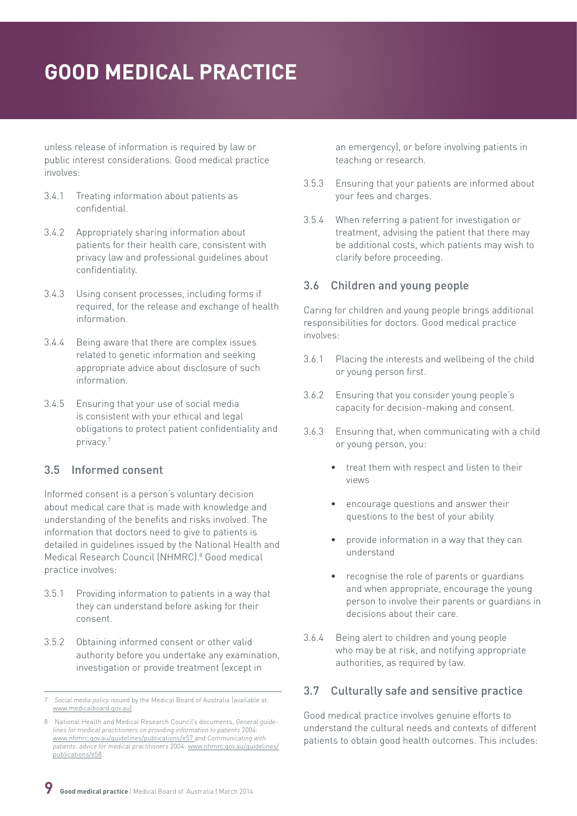<span id="page-8-0"></span>unless release of information is required by law or public interest considerations. Good medical practice involves:

- 3.4.1 Treating information about patients as confidential.
- 3.4.2 Appropriately sharing information about patients for their health care, consistent with privacy law and professional guidelines about confidentiality.
- 3.4.3 Using consent processes, including forms if required, for the release and exchange of health information.
- 3.4.4 Being aware that there are complex issues related to genetic information and seeking appropriate advice about disclosure of such information.
- 3.4.5 Ensuring that your use of social media is consistent with your ethical and legal obligations to protect patient confidentiality and privacy.7

## 3.5 Informed consent

Informed consent is a person's voluntary decision about medical care that is made with knowledge and understanding of the benefits and risks involved. The information that doctors need to give to patients is detailed in guidelines issued by the National Health and Medical Research Council (NHMRC).<sup>8</sup> Good medical practice involves:

- 3.5.1 Providing information to patients in a way that they can understand before asking for their consent.
- 3.5.2 Obtaining informed consent or other valid authority before you undertake any examination, investigation or provide treatment (except in

an emergency), or before involving patients in teaching or research.

- 3.5.3 Ensuring that your patients are informed about your fees and charges.
- 3.5.4 When referring a patient for investigation or treatment, advising the patient that there may be additional costs, which patients may wish to clarify before proceeding.

#### 3.6 Children and young people

Caring for children and young people brings additional responsibilities for doctors. Good medical practice involves:

- 3.6.1 Placing the interests and wellbeing of the child or young person first.
- 3.6.2 Ensuring that you consider young people's capacity for decision-making and consent.
- 3.6.3 Ensuring that, when communicating with a child or young person, you:
	- treat them with respect and listen to their views
	- encourage questions and answer their questions to the best of your ability
	- provide information in a way that they can understand
	- recognise the role of parents or guardians and when appropriate, encourage the young person to involve their parents or guardians in decisions about their care.
- 3.6.4 Being alert to children and young people who may be at risk, and notifying appropriate authorities, as required by law.

## 3.7 Culturally safe and sensitive practice

Good medical practice involves genuine efforts to understand the cultural needs and contexts of different patients to obtain good health outcomes. This includes:

<sup>7</sup> *Social media policy* issued by the Medical Board of Australia (available at: [www.medicalboard.gov.au](http://www.medicalboard.gov.au)).

<sup>8</sup> National Health and Medical Research Council's documents, *General guidelines for medical practitioners on providing information to patients* 2004: [www.nhmrc.gov.au/guidelines/publications/e57](http://www.nhmrc.gov.au/guidelines/publications/e57) and *Communicating with patients: advice for medical practitioners* 2004: [www.nhmrc.gov.au/guidelines/](http://www.nhmrc.gov.au/guidelines/publications/e58) [publications/e58](http://www.nhmrc.gov.au/guidelines/publications/e58).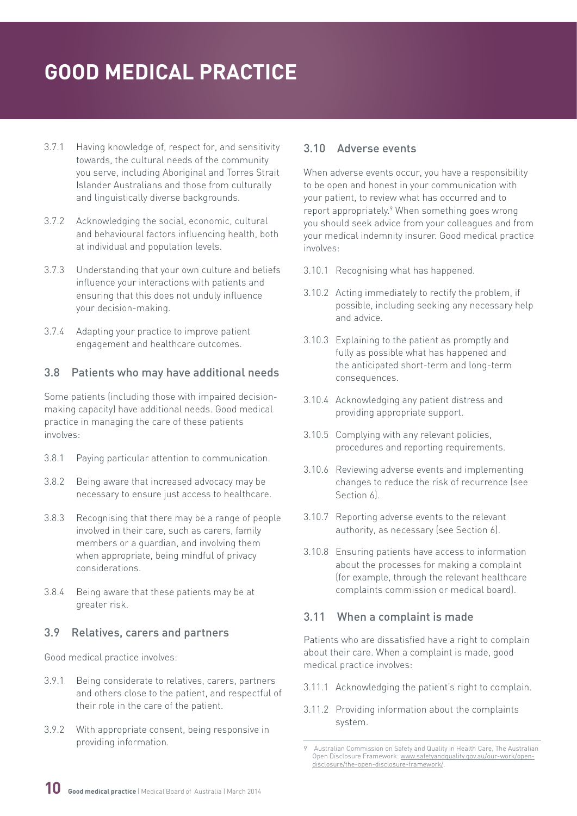- <span id="page-9-0"></span>3.7.1 Having knowledge of, respect for, and sensitivity towards, the cultural needs of the community you serve, including Aboriginal and Torres Strait Islander Australians and those from culturally and linguistically diverse backgrounds.
- 3.7.2 Acknowledging the social, economic, cultural and behavioural factors influencing health, both at individual and population levels.
- 3.7.3 Understanding that your own culture and beliefs influence your interactions with patients and ensuring that this does not unduly influence your decision-making.
- 3.7.4 Adapting your practice to improve patient engagement and healthcare outcomes.

## 3.8 Patients who may have additional needs

Some patients (including those with impaired decisionmaking capacity) have additional needs. Good medical practice in managing the care of these patients involves:

- 3.8.1 Paying particular attention to communication.
- 3.8.2 Being aware that increased advocacy may be necessary to ensure just access to healthcare.
- 3.8.3 Recognising that there may be a range of people involved in their care, such as carers, family members or a guardian, and involving them when appropriate, being mindful of privacy considerations.
- 3.8.4 Being aware that these patients may be at greater risk.

#### 3.9 Relatives, carers and partners

Good medical practice involves:

- 3.9.1 Being considerate to relatives, carers, partners and others close to the patient, and respectful of their role in the care of the patient.
- 3.9.2 With appropriate consent, being responsive in providing information.

#### 3.10 Adverse events

When adverse events occur, you have a responsibility to be open and honest in your communication with your patient, to review what has occurred and to report appropriately.<sup>9</sup> When something goes wrong you should seek advice from your colleagues and from your medical indemnity insurer. Good medical practice involves:

- 3.10.1 Recognising what has happened.
- 3.10.2 Acting immediately to rectify the problem, if possible, including seeking any necessary help and advice.
- 3.10.3 Explaining to the patient as promptly and fully as possible what has happened and the anticipated short-term and long-term consequences.
- 3.10.4 Acknowledging any patient distress and providing appropriate support.
- 3.10.5 Complying with any relevant policies, procedures and reporting requirements.
- 3.10.6 Reviewing adverse events and implementing changes to reduce the risk of recurrence (see Section 6)
- 3.10.7 Reporting adverse events to the relevant authority, as necessary (see Section 6).
- 3.10.8 Ensuring patients have access to information about the processes for making a complaint (for example, through the relevant healthcare complaints commission or medical board).

## 3.11 When a complaint is made

Patients who are dissatisfied have a right to complain about their care. When a complaint is made, good medical practice involves:

- 3.11.1 Acknowledging the patient's right to complain.
- 3.11.2 Providing information about the complaints system.

Australian Commission on Safety and Quality in Health Care, The Australian Open Disclosure Framework: [www.safetyandquality.gov.au/our-work/open](http://www.safetyandquality.gov.au/our-work/open-disclosure/the-open-disclosure-framework/)[disclosure/the-open-disclosure-framework/.](http://www.safetyandquality.gov.au/our-work/open-disclosure/the-open-disclosure-framework/)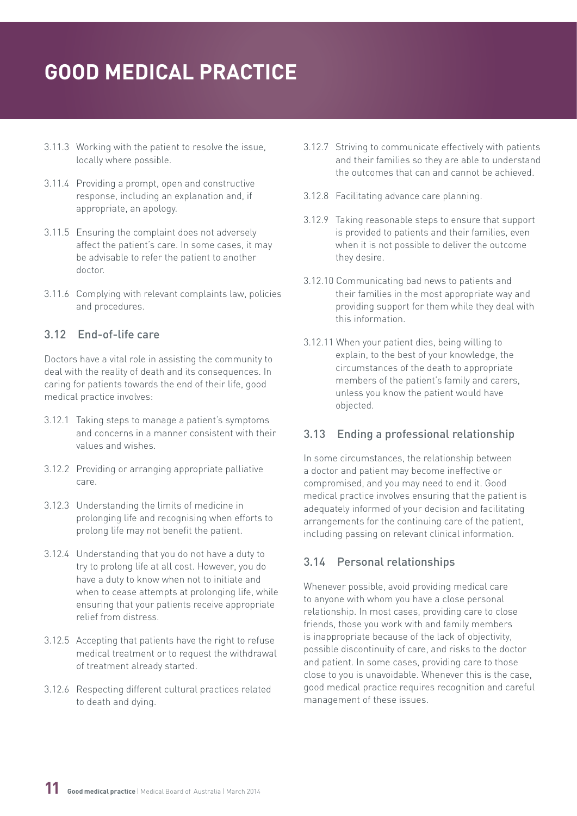- <span id="page-10-0"></span>3.11.3 Working with the patient to resolve the issue, locally where possible.
- 3.11.4 Providing a prompt, open and constructive response, including an explanation and, if appropriate, an apology.
- 3.11.5 Ensuring the complaint does not adversely affect the patient's care. In some cases, it may be advisable to refer the patient to another doctor.
- 3.11.6 Complying with relevant complaints law, policies and procedures.

# 3.12 End-of-life care

Doctors have a vital role in assisting the community to deal with the reality of death and its consequences. In caring for patients towards the end of their life, good medical practice involves:

- 3.12.1 Taking steps to manage a patient's symptoms and concerns in a manner consistent with their values and wishes.
- 3.12.2 Providing or arranging appropriate palliative care.
- 3.12.3 Understanding the limits of medicine in prolonging life and recognising when efforts to prolong life may not benefit the patient.
- 3.12.4 Understanding that you do not have a duty to try to prolong life at all cost. However, you do have a duty to know when not to initiate and when to cease attempts at prolonging life, while ensuring that your patients receive appropriate relief from distress.
- 3.12.5 Accepting that patients have the right to refuse medical treatment or to request the withdrawal of treatment already started.
- 3.12.6 Respecting different cultural practices related to death and dying.
- 3.12.7 Striving to communicate effectively with patients and their families so they are able to understand the outcomes that can and cannot be achieved.
- 3.12.8 Facilitating advance care planning.
- 3.12.9 Taking reasonable steps to ensure that support is provided to patients and their families, even when it is not possible to deliver the outcome they desire.
- 3.12.10 Communicating bad news to patients and their families in the most appropriate way and providing support for them while they deal with this information.
- 3.12.11 When your patient dies, being willing to explain, to the best of your knowledge, the circumstances of the death to appropriate members of the patient's family and carers, unless you know the patient would have objected.

# 3.13 Ending a professional relationship

In some circumstances, the relationship between a doctor and patient may become ineffective or compromised, and you may need to end it. Good medical practice involves ensuring that the patient is adequately informed of your decision and facilitating arrangements for the continuing care of the patient, including passing on relevant clinical information.

# 3.14 Personal relationships

Whenever possible, avoid providing medical care to anyone with whom you have a close personal relationship. In most cases, providing care to close friends, those you work with and family members is inappropriate because of the lack of objectivity, possible discontinuity of care, and risks to the doctor and patient. In some cases, providing care to those close to you is unavoidable. Whenever this is the case, good medical practice requires recognition and careful management of these issues.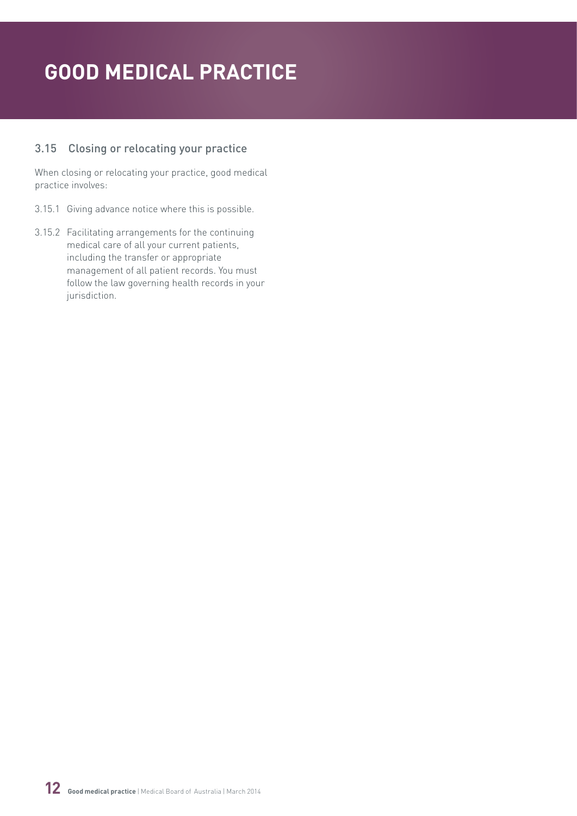# <span id="page-11-0"></span>3.15 Closing or relocating your practice

When closing or relocating your practice, good medical practice involves:

- 3.15.1 Giving advance notice where this is possible.
- 3.15.2 Facilitating arrangements for the continuing medical care of all your current patients, including the transfer or appropriate management of all patient records. You must follow the law governing health records in your jurisdiction.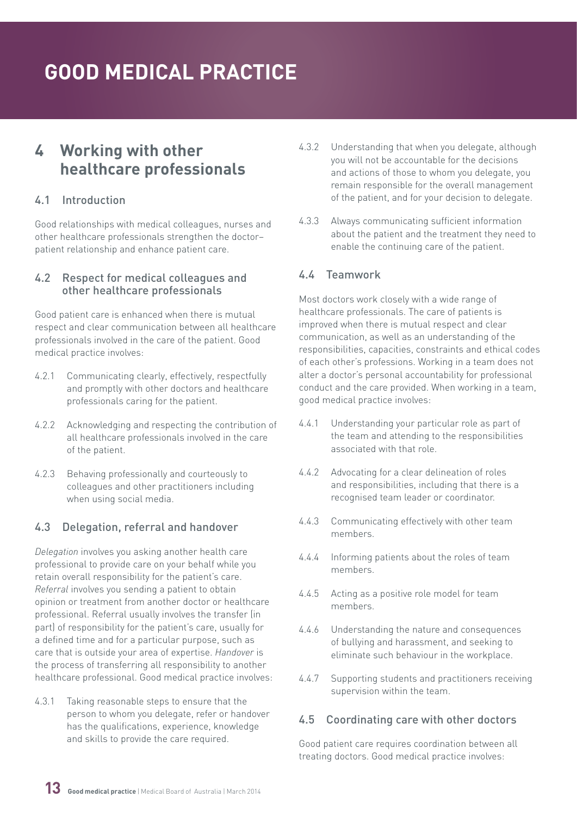# <span id="page-12-0"></span>**4 Working with other healthcare professionals**

### 4.1 Introduction

Good relationships with medical colleagues, nurses and other healthcare professionals strengthen the doctor– patient relationship and enhance patient care.

#### 4.2 Respect for medical colleagues and other healthcare professionals

Good patient care is enhanced when there is mutual respect and clear communication between all healthcare professionals involved in the care of the patient. Good medical practice involves:

- 4.2.1 Communicating clearly, effectively, respectfully and promptly with other doctors and healthcare professionals caring for the patient.
- 4.2.2 Acknowledging and respecting the contribution of all healthcare professionals involved in the care of the patient.
- 4.2.3 Behaving professionally and courteously to colleagues and other practitioners including when using social media.

## 4.3 Delegation, referral and handover

*Delegation* involves you asking another health care professional to provide care on your behalf while you retain overall responsibility for the patient's care. *Referral* involves you sending a patient to obtain opinion or treatment from another doctor or healthcare professional. Referral usually involves the transfer (in part) of responsibility for the patient's care, usually for a defined time and for a particular purpose, such as care that is outside your area of expertise. *Handover* is the process of transferring all responsibility to another healthcare professional. Good medical practice involves:

4.3.1 Taking reasonable steps to ensure that the person to whom you delegate, refer or handover has the qualifications, experience, knowledge and skills to provide the care required.

- 4.3.2 Understanding that when you delegate, although you will not be accountable for the decisions and actions of those to whom you delegate, you remain responsible for the overall management of the patient, and for your decision to delegate.
- 4.3.3 Always communicating sufficient information about the patient and the treatment they need to enable the continuing care of the patient.

#### 4.4 Teamwork

Most doctors work closely with a wide range of healthcare professionals. The care of patients is improved when there is mutual respect and clear communication, as well as an understanding of the responsibilities, capacities, constraints and ethical codes of each other's professions. Working in a team does not alter a doctor's personal accountability for professional conduct and the care provided. When working in a team, good medical practice involves:

- 4.4.1 Understanding your particular role as part of the team and attending to the responsibilities associated with that role.
- 4.4.2 Advocating for a clear delineation of roles and responsibilities, including that there is a recognised team leader or coordinator.
- 4.4.3 Communicating effectively with other team members.
- 4.4.4 Informing patients about the roles of team members.
- 4.4.5 Acting as a positive role model for team members.
- 4.4.6 Understanding the nature and consequences of bullying and harassment, and seeking to eliminate such behaviour in the workplace.
- 4.4.7 Supporting students and practitioners receiving supervision within the team.

#### 4.5 Coordinating care with other doctors

Good patient care requires coordination between all treating doctors. Good medical practice involves: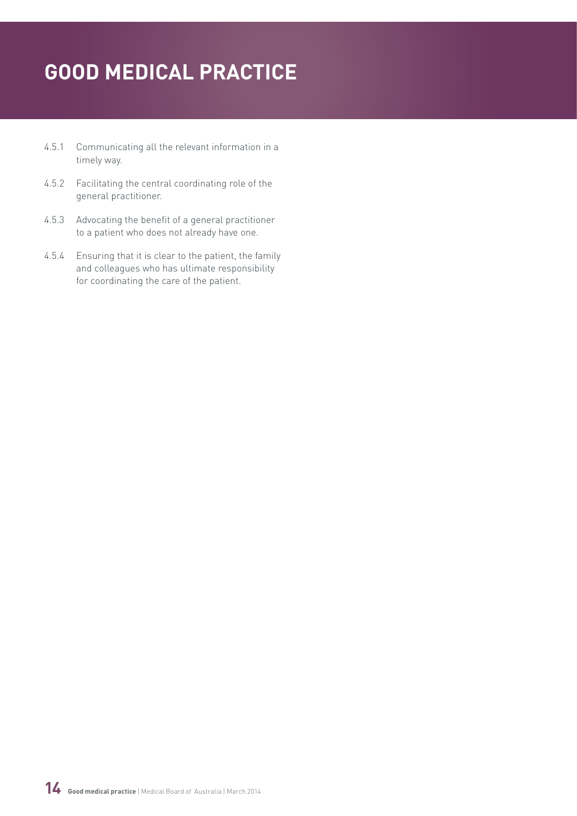- 4.5.1 Communicating all the relevant information in a timely way.
- 4.5.2 Facilitating the central coordinating role of the general practitioner.
- 4.5.3 Advocating the benefit of a general practitioner to a patient who does not already have one.
- 4.5.4 Ensuring that it is clear to the patient, the family and colleagues who has ultimate responsibility for coordinating the care of the patient.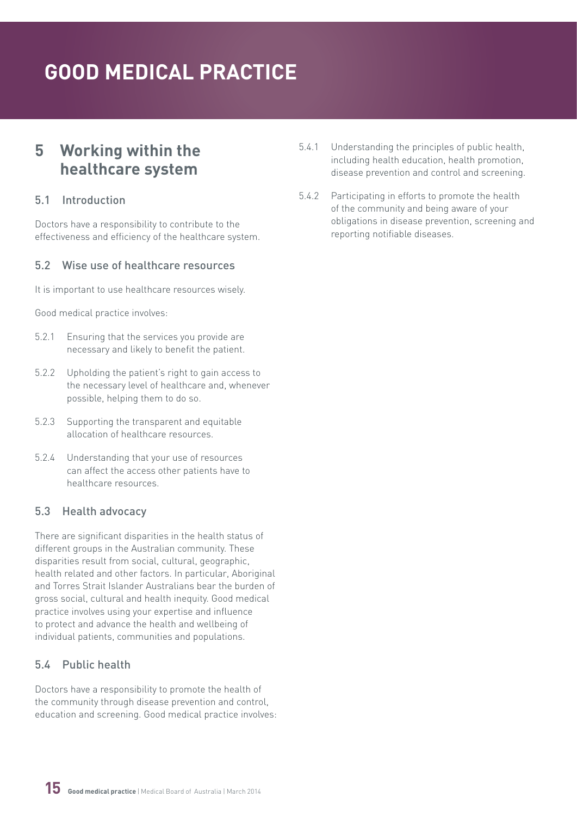# <span id="page-14-0"></span>**5 Working within the healthcare system**

### 5.1 Introduction

Doctors have a responsibility to contribute to the effectiveness and efficiency of the healthcare system.

## 5.2 Wise use of healthcare resources

It is important to use healthcare resources wisely.

Good medical practice involves:

- 5.2.1 Ensuring that the services you provide are necessary and likely to benefit the patient.
- 5.2.2 Upholding the patient's right to gain access to the necessary level of healthcare and, whenever possible, helping them to do so.
- 5.2.3 Supporting the transparent and equitable allocation of healthcare resources.
- 5.2.4 Understanding that your use of resources can affect the access other patients have to healthcare resources.

## 5.3 Health advocacy

There are significant disparities in the health status of different groups in the Australian community. These disparities result from social, cultural, geographic, health related and other factors. In particular, Aboriginal and Torres Strait Islander Australians bear the burden of gross social, cultural and health inequity. Good medical practice involves using your expertise and influence to protect and advance the health and wellbeing of individual patients, communities and populations.

# 5.4 Public health

Doctors have a responsibility to promote the health of the community through disease prevention and control, education and screening. Good medical practice involves:

- 5.4.1 Understanding the principles of public health, including health education, health promotion, disease prevention and control and screening.
- 5.4.2 Participating in efforts to promote the health of the community and being aware of your obligations in disease prevention, screening and reporting notifiable diseases.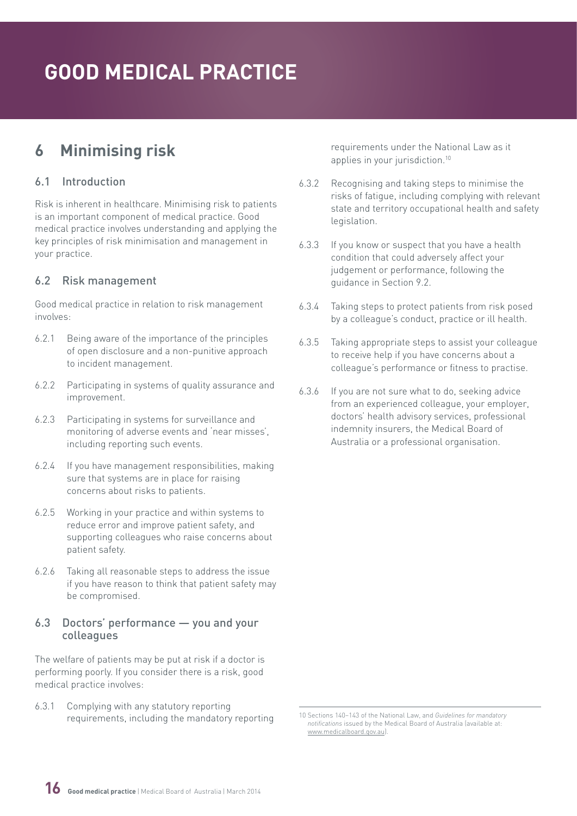# <span id="page-15-0"></span>**6 Minimising risk**

## 6.1 Introduction

Risk is inherent in healthcare. Minimising risk to patients is an important component of medical practice. Good medical practice involves understanding and applying the key principles of risk minimisation and management in your practice.

## 6.2 Risk management

Good medical practice in relation to risk management involves:

- 6.2.1 Being aware of the importance of the principles of open disclosure and a non-punitive approach to incident management.
- 6.2.2 Participating in systems of quality assurance and improvement.
- 6.2.3 Participating in systems for surveillance and monitoring of adverse events and 'near misses', including reporting such events.
- 6.2.4 If you have management responsibilities, making sure that systems are in place for raising concerns about risks to patients.
- 6.2.5 Working in your practice and within systems to reduce error and improve patient safety, and supporting colleagues who raise concerns about patient safety.
- 6.2.6 Taking all reasonable steps to address the issue if you have reason to think that patient safety may be compromised.

#### 6.3 Doctors' performance — you and your colleagues

The welfare of patients may be put at risk if a doctor is performing poorly. If you consider there is a risk, good medical practice involves:

6.3.1 Complying with any statutory reporting requirements, including the mandatory reporting requirements under the National Law as it applies in your jurisdiction.<sup>10</sup>

- 6.3.2 Recognising and taking steps to minimise the risks of fatigue, including complying with relevant state and territory occupational health and safety legislation.
- 6.3.3 If you know or suspect that you have a health condition that could adversely affect your judgement or performance, following the guidance in Section 9.2.
- 6.3.4 Taking steps to protect patients from risk posed by a colleague's conduct, practice or ill health.
- 6.3.5 Taking appropriate steps to assist your colleague to receive help if you have concerns about a colleague's performance or fitness to practise.
- 6.3.6 If you are not sure what to do, seeking advice from an experienced colleague, your employer, doctors' health advisory services, professional indemnity insurers, the Medical Board of Australia or a professional organisation.



<sup>10</sup> Sections 140–143 of the National Law, and *Guidelines for mandatory notifications* issued by the Medical Board of Australia (available at: [www.medicalboard.gov.au\)](http://www.medicalboard.gov.au).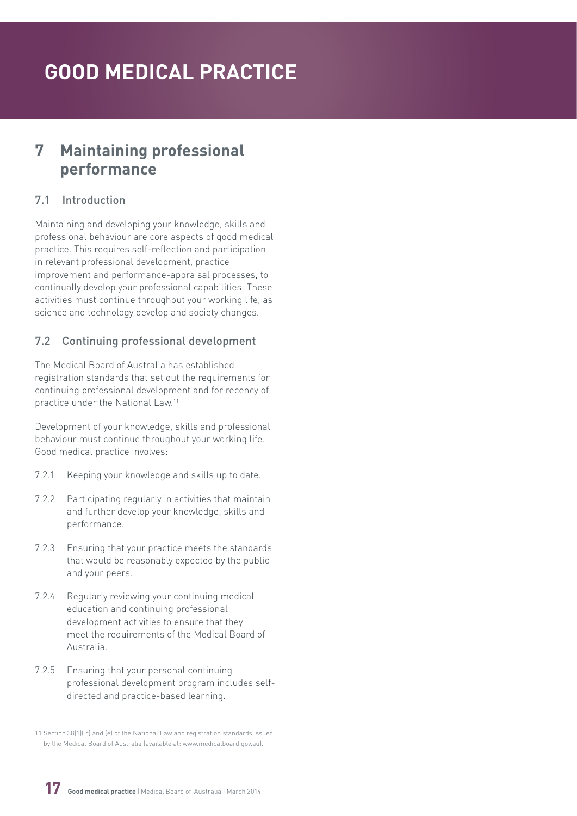# <span id="page-16-0"></span>**7 Maintaining professional performance**

## 7.1 Introduction

Maintaining and developing your knowledge, skills and professional behaviour are core aspects of good medical practice. This requires self-reflection and participation in relevant professional development, practice improvement and performance-appraisal processes, to continually develop your professional capabilities. These activities must continue throughout your working life, as science and technology develop and society changes.

## 7.2 Continuing professional development

The Medical Board of Australia has established registration standards that set out the requirements for continuing professional development and for recency of practice under the National Law.11

Development of your knowledge, skills and professional behaviour must continue throughout your working life. Good medical practice involves:

- 7.2.1 Keeping your knowledge and skills up to date.
- 7.2.2 Participating regularly in activities that maintain and further develop your knowledge, skills and performance.
- 7.2.3 Ensuring that your practice meets the standards that would be reasonably expected by the public and your peers.
- 7.2.4 Regularly reviewing your continuing medical education and continuing professional development activities to ensure that they meet the requirements of the Medical Board of Australia.
- 7.2.5 Ensuring that your personal continuing professional development program includes selfdirected and practice-based learning.

<sup>11</sup> Section 38(1)( c) and (e) of the National Law and registration standards issued by the Medical Board of Australia (available at: [www.medicalboard.gov.au](http://www.medicalboard.gov.au)).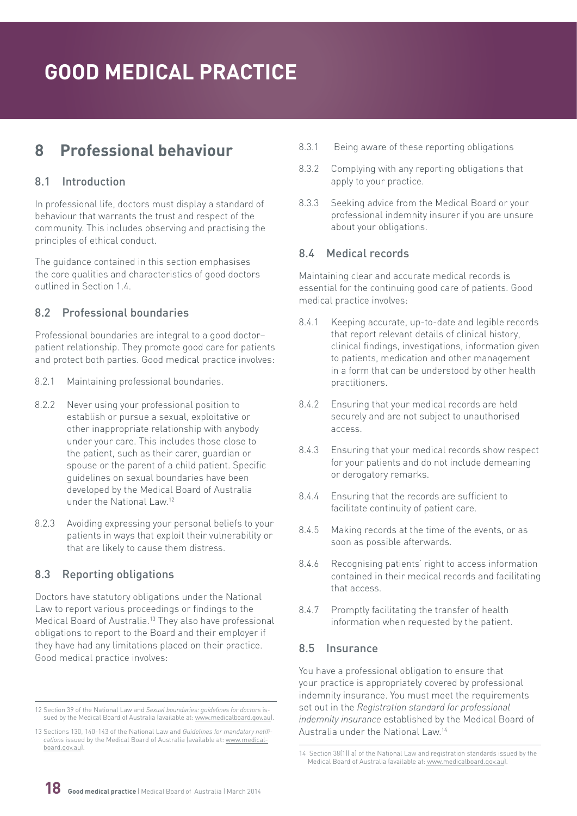# <span id="page-17-0"></span>**8 Professional behaviour**

## 8.1 Introduction

In professional life, doctors must display a standard of behaviour that warrants the trust and respect of the community. This includes observing and practising the principles of ethical conduct.

The guidance contained in this section emphasises the core qualities and characteristics of good doctors outlined in Section 1.4.

## 8.2 Professional boundaries

Professional boundaries are integral to a good doctor– patient relationship. They promote good care for patients and protect both parties. Good medical practice involves:

- 8.2.1 Maintaining professional boundaries.
- 8.2.2 Never using your professional position to establish or pursue a sexual, exploitative or other inappropriate relationship with anybody under your care. This includes those close to the patient, such as their carer, guardian or spouse or the parent of a child patient. Specific guidelines on sexual boundaries have been developed by the Medical Board of Australia under the National Law<sup>12</sup>
- 8.2.3 Avoiding expressing your personal beliefs to your patients in ways that exploit their vulnerability or that are likely to cause them distress.

# 8.3 Reporting obligations

Doctors have statutory obligations under the National Law to report various proceedings or findings to the Medical Board of Australia.13 They also have professional obligations to report to the Board and their employer if they have had any limitations placed on their practice. Good medical practice involves:

- 8.3.1 Being aware of these reporting obligations
- 8.3.2 Complying with any reporting obligations that apply to your practice.
- 8.3.3 Seeking advice from the Medical Board or your professional indemnity insurer if you are unsure about your obligations.

## 8.4 Medical records

Maintaining clear and accurate medical records is essential for the continuing good care of patients. Good medical practice involves:

- 8.4.1 Keeping accurate, up-to-date and legible records that report relevant details of clinical history, clinical findings, investigations, information given to patients, medication and other management in a form that can be understood by other health practitioners.
- 8.4.2 Ensuring that your medical records are held securely and are not subject to unauthorised access.
- 8.4.3 Ensuring that your medical records show respect for your patients and do not include demeaning or derogatory remarks.
- 8.4.4 Ensuring that the records are sufficient to facilitate continuity of patient care.
- 8.4.5 Making records at the time of the events, or as soon as possible afterwards.
- 8.4.6 Recognising patients' right to access information contained in their medical records and facilitating that access.
- 8.4.7 Promptly facilitating the transfer of health information when requested by the patient.

## 8.5 Insurance

You have a professional obligation to ensure that your practice is appropriately covered by professional indemnity insurance. You must meet the requirements set out in the *Registration standard for professional indemnity insurance* established by the Medical Board of Australia under the National Law.14



<sup>12</sup> Section 39 of the National Law and *Sexual boundaries: guidelines for doctors* issued by the Medical Board of Australia (available at: [www.medicalboard.gov.au](http://www.medicalboard.gov.au)).

<sup>13</sup> Sections 130, 140-143 of the National Law and *Guidelines for mandatory notifications* issued by the Medical Board of Australia (available at: [www.medical](http://www.medicalboard.gov.au)[board.gov.au\)](http://www.medicalboard.gov.au).

<sup>14</sup> Section 38(1)( a) of the National Law and registration standards issued by the Medical Board of Australia (available at: [www.medicalboard.gov.au](http://www.medicalboard.gov.au)).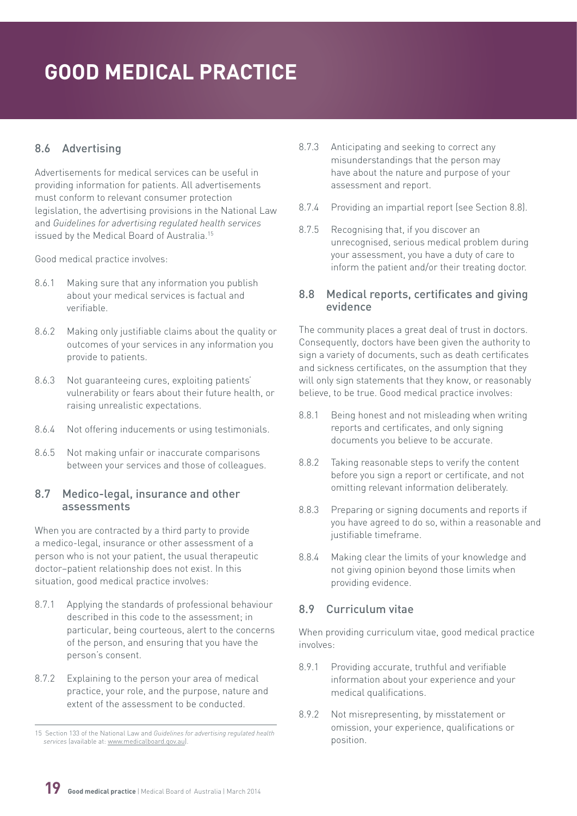# <span id="page-18-0"></span>8.6 Advertising

Advertisements for medical services can be useful in providing information for patients. All advertisements must conform to relevant consumer protection legislation, the advertising provisions in the National Law and *Guidelines for advertising regulated health services* issued by the Medical Board of Australia.15

Good medical practice involves:

- 8.6.1 Making sure that any information you publish about your medical services is factual and verifiable.
- 8.6.2 Making only justifiable claims about the quality or outcomes of your services in any information you provide to patients.
- 8.6.3 Not guaranteeing cures, exploiting patients' vulnerability or fears about their future health, or raising unrealistic expectations.
- 8.6.4 Not offering inducements or using testimonials.
- 8.6.5 Not making unfair or inaccurate comparisons between your services and those of colleagues.

#### 8.7 Medico-legal, insurance and other assessments

When you are contracted by a third party to provide a medico-legal, insurance or other assessment of a person who is not your patient, the usual therapeutic doctor–patient relationship does not exist. In this situation, good medical practice involves:

- 8.7.1 Applying the standards of professional behaviour described in this code to the assessment; in particular, being courteous, alert to the concerns of the person, and ensuring that you have the person's consent.
- 8.7.2 Explaining to the person your area of medical practice, your role, and the purpose, nature and extent of the assessment to be conducted.
- 8.7.3 Anticipating and seeking to correct any misunderstandings that the person may have about the nature and purpose of your assessment and report.
- 8.7.4 Providing an impartial report (see Section 8.8).
- 8.7.5 Recognising that, if you discover an unrecognised, serious medical problem during your assessment, you have a duty of care to inform the patient and/or their treating doctor.

#### 8.8 Medical reports, certificates and giving evidence

The community places a great deal of trust in doctors. Consequently, doctors have been given the authority to sign a variety of documents, such as death certificates and sickness certificates, on the assumption that they will only sign statements that they know, or reasonably believe, to be true. Good medical practice involves:

- 8.8.1 Being honest and not misleading when writing reports and certificates, and only signing documents you believe to be accurate.
- 8.8.2 Taking reasonable steps to verify the content before you sign a report or certificate, and not omitting relevant information deliberately.
- 8.8.3 Preparing or signing documents and reports if you have agreed to do so, within a reasonable and justifiable timeframe.
- 8.8.4 Making clear the limits of your knowledge and not giving opinion beyond those limits when providing evidence.

#### 8.9 Curriculum vitae

When providing curriculum vitae, good medical practice involves:

- 8.9.1 Providing accurate, truthful and verifiable information about your experience and your medical qualifications.
- 8.9.2 Not misrepresenting, by misstatement or omission, your experience, qualifications or position.

<sup>15</sup> Section 133 of the National Law and *Guidelines for advertising regulated health services* (available at: [www.medicalboard.gov.au\)](http://www.medicalboard.gov.au).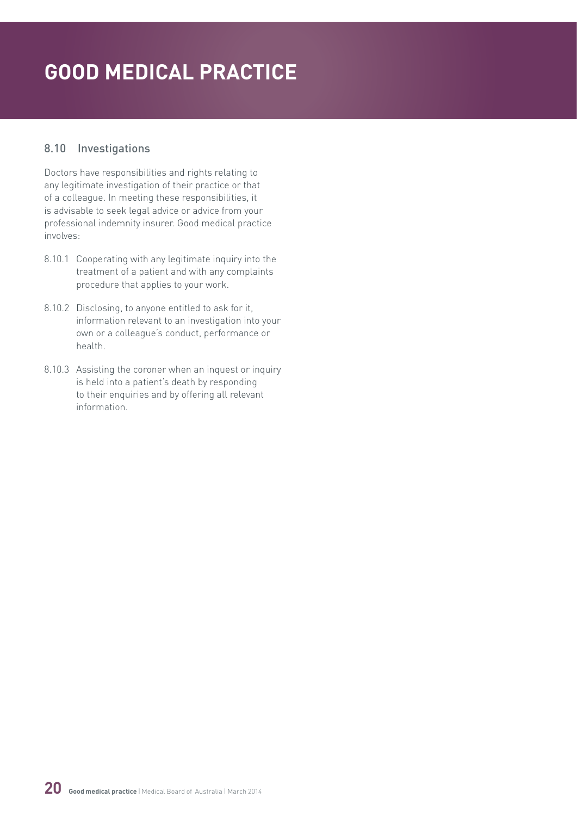## <span id="page-19-0"></span>8.10 Investigations

Doctors have responsibilities and rights relating to any legitimate investigation of their practice or that of a colleague. In meeting these responsibilities, it is advisable to seek legal advice or advice from your professional indemnity insurer. Good medical practice involves:

- 8.10.1 Cooperating with any legitimate inquiry into the treatment of a patient and with any complaints procedure that applies to your work.
- 8.10.2 Disclosing, to anyone entitled to ask for it, information relevant to an investigation into your own or a colleague's conduct, performance or health.
- 8.10.3 Assisting the coroner when an inquest or inquiry is held into a patient's death by responding to their enquiries and by offering all relevant information.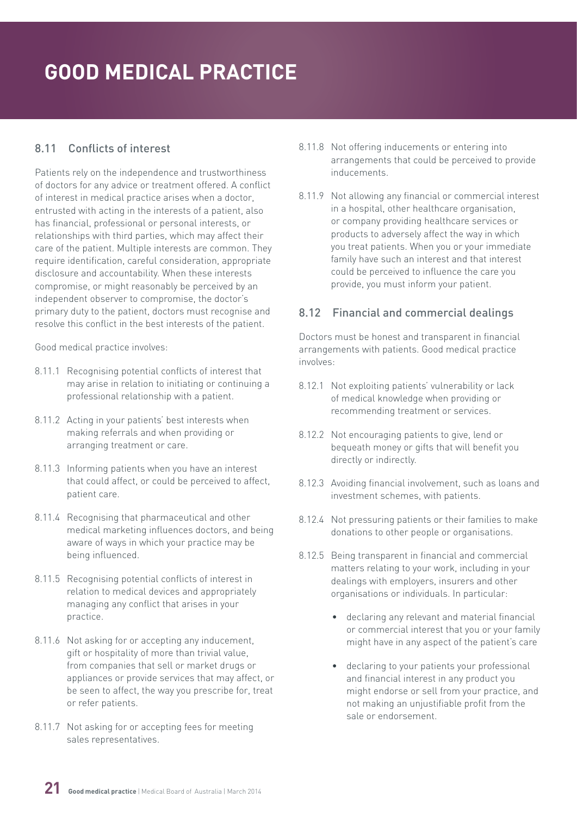## <span id="page-20-0"></span>8.11 Conflicts of interest

Patients rely on the independence and trustworthiness of doctors for any advice or treatment offered. A conflict of interest in medical practice arises when a doctor, entrusted with acting in the interests of a patient, also has financial, professional or personal interests, or relationships with third parties, which may affect their care of the patient. Multiple interests are common. They require identification, careful consideration, appropriate disclosure and accountability. When these interests compromise, or might reasonably be perceived by an independent observer to compromise, the doctor's primary duty to the patient, doctors must recognise and resolve this conflict in the best interests of the patient.

Good medical practice involves:

- 8.11.1 Recognising potential conflicts of interest that may arise in relation to initiating or continuing a professional relationship with a patient.
- 8.11.2 Acting in your patients' best interests when making referrals and when providing or arranging treatment or care.
- 8.11.3 Informing patients when you have an interest that could affect, or could be perceived to affect, patient care.
- 8.11.4 Recognising that pharmaceutical and other medical marketing influences doctors, and being aware of ways in which your practice may be being influenced.
- 8.11.5 Recognising potential conflicts of interest in relation to medical devices and appropriately managing any conflict that arises in your practice.
- 8.11.6 Not asking for or accepting any inducement, gift or hospitality of more than trivial value, from companies that sell or market drugs or appliances or provide services that may affect, or be seen to affect, the way you prescribe for, treat or refer patients.
- 8.11.7 Not asking for or accepting fees for meeting sales representatives.
- 8.11.8 Not offering inducements or entering into arrangements that could be perceived to provide inducements.
- 8.11.9 Not allowing any financial or commercial interest in a hospital, other healthcare organisation, or company providing healthcare services or products to adversely affect the way in which you treat patients. When you or your immediate family have such an interest and that interest could be perceived to influence the care you provide, you must inform your patient.

## 8.12 Financial and commercial dealings

Doctors must be honest and transparent in financial arrangements with patients. Good medical practice involves:

- 8.12.1 Not exploiting patients' vulnerability or lack of medical knowledge when providing or recommending treatment or services.
- 8.12.2 Not encouraging patients to give, lend or bequeath money or gifts that will benefit you directly or indirectly.
- 8.12.3 Avoiding financial involvement, such as loans and investment schemes, with patients.
- 8.12.4 Not pressuring patients or their families to make donations to other people or organisations.
- 8.12.5 Being transparent in financial and commercial matters relating to your work, including in your dealings with employers, insurers and other organisations or individuals. In particular:
	- declaring any relevant and material financial or commercial interest that you or your family might have in any aspect of the patient's care
	- declaring to your patients your professional and financial interest in any product you might endorse or sell from your practice, and not making an unjustifiable profit from the sale or endorsement.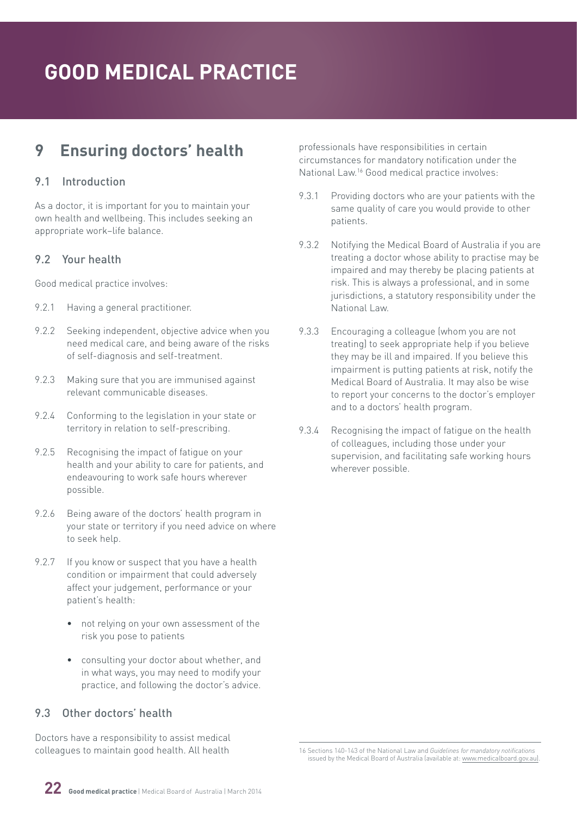# <span id="page-21-0"></span>**9 Ensuring doctors' health**

## 9.1 Introduction

As a doctor, it is important for you to maintain your own health and wellbeing. This includes seeking an appropriate work–life balance.

#### 9.2 Your health

Good medical practice involves:

- 9.2.1 Having a general practitioner.
- 9.2.2 Seeking independent, objective advice when you need medical care, and being aware of the risks of self-diagnosis and self-treatment.
- 9.2.3 Making sure that you are immunised against relevant communicable diseases.
- 9.2.4 Conforming to the legislation in your state or territory in relation to self-prescribing.
- 9.2.5 Recognising the impact of fatigue on your health and your ability to care for patients, and endeavouring to work safe hours wherever possible.
- 9.2.6 Being aware of the doctors' health program in your state or territory if you need advice on where to seek help.
- 9.2.7 If you know or suspect that you have a health condition or impairment that could adversely affect your judgement, performance or your patient's health:
	- not relying on your own assessment of the risk you pose to patients
	- consulting your doctor about whether, and in what ways, you may need to modify your practice, and following the doctor's advice.

## 9.3 Other doctors' health

Doctors have a responsibility to assist medical colleagues to maintain good health. All health

professionals have responsibilities in certain circumstances for mandatory notification under the National Law.16 Good medical practice involves:

- 9.3.1 Providing doctors who are your patients with the same quality of care you would provide to other patients.
- 9.3.2 Notifying the Medical Board of Australia if you are treating a doctor whose ability to practise may be impaired and may thereby be placing patients at risk. This is always a professional, and in some jurisdictions, a statutory responsibility under the National Law.
- 9.3.3 Encouraging a colleague (whom you are not treating) to seek appropriate help if you believe they may be ill and impaired. If you believe this impairment is putting patients at risk, notify the Medical Board of Australia. It may also be wise to report your concerns to the doctor's employer and to a doctors' health program.
- 9.3.4 Recognising the impact of fatigue on the health of colleagues, including those under your supervision, and facilitating safe working hours wherever possible.

<sup>16</sup> Sections 140-143 of the National Law and *Guidelines for mandatory notifications* issued by the Medical Board of Australia (available at: [www.medicalboard.gov.au\)](http://www.medicalboard.gov.au).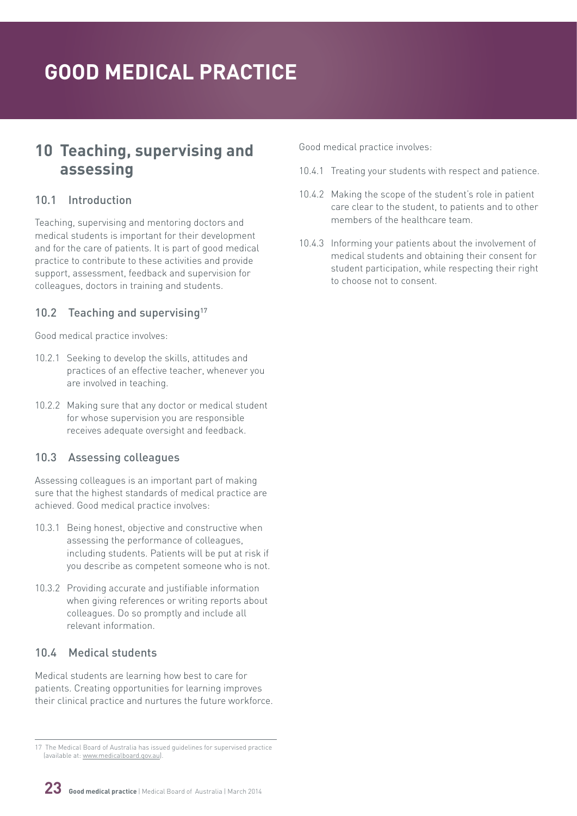# <span id="page-22-0"></span>**10 Teaching, supervising and assessing**

### 10.1 Introduction

Teaching, supervising and mentoring doctors and medical students is important for their development and for the care of patients. It is part of good medical practice to contribute to these activities and provide support, assessment, feedback and supervision for colleagues, doctors in training and students.

## 10.2 Teaching and supervising<sup>17</sup>

Good medical practice involves:

- 10.2.1 Seeking to develop the skills, attitudes and practices of an effective teacher, whenever you are involved in teaching.
- 10.2.2 Making sure that any doctor or medical student for whose supervision you are responsible receives adequate oversight and feedback.

## 10.3 Assessing colleagues

Assessing colleagues is an important part of making sure that the highest standards of medical practice are achieved. Good medical practice involves:

- 10.3.1 Being honest, objective and constructive when assessing the performance of colleagues, including students. Patients will be put at risk if you describe as competent someone who is not.
- 10.3.2 Providing accurate and justifiable information when giving references or writing reports about colleagues. Do so promptly and include all relevant information.

## 10.4 Medical students

Medical students are learning how best to care for patients. Creating opportunities for learning improves their clinical practice and nurtures the future workforce. Good medical practice involves:

- 10.4.1 Treating your students with respect and patience.
- 10.4.2 Making the scope of the student's role in patient care clear to the student, to patients and to other members of the healthcare team.
- 10.4.3 Informing your patients about the involvement of medical students and obtaining their consent for student participation, while respecting their right to choose not to consent.



<sup>17</sup> The Medical Board of Australia has issued guidelines for supervised practice (available at: [www.medicalboard.gov.au\)](http://www.medicalboard.gov.au).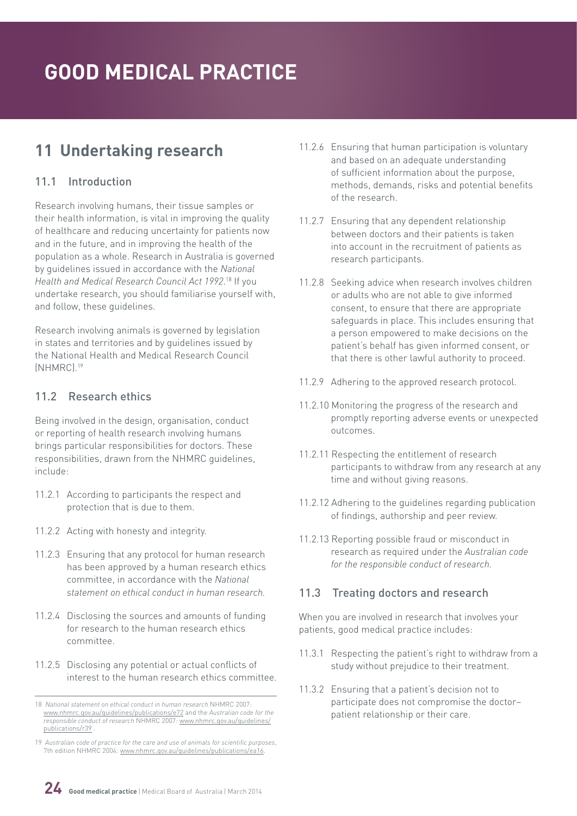# <span id="page-23-0"></span>**11 Undertaking research**

## 11.1 Introduction

Research involving humans, their tissue samples or their health information, is vital in improving the quality of healthcare and reducing uncertainty for patients now and in the future, and in improving the health of the population as a whole. Research in Australia is governed by guidelines issued in accordance with the *National Health and Medical Research Council Act 1992*. 18 If you undertake research, you should familiarise yourself with, and follow, these guidelines.

Research involving animals is governed by legislation in states and territories and by guidelines issued by the National Health and Medical Research Council (NHMRC).19

## 11.2 Research ethics

Being involved in the design, organisation, conduct or reporting of health research involving humans brings particular responsibilities for doctors. These responsibilities, drawn from the NHMRC guidelines, include:

- 11.2.1 According to participants the respect and protection that is due to them.
- 11.2.2 Acting with honesty and integrity.
- 11.2.3 Ensuring that any protocol for human research has been approved by a human research ethics committee, in accordance with the *National statement on ethical conduct in human research.*
- 11.2.4 Disclosing the sources and amounts of funding for research to the human research ethics committee.
- 11.2.5 Disclosing any potential or actual conflicts of interest to the human research ethics committee.
- 11.2.6 Ensuring that human participation is voluntary and based on an adequate understanding of sufficient information about the purpose, methods, demands, risks and potential benefits of the research.
- 11.2.7 Ensuring that any dependent relationship between doctors and their patients is taken into account in the recruitment of patients as research participants.
- 11.2.8 Seeking advice when research involves children or adults who are not able to give informed consent, to ensure that there are appropriate safeguards in place. This includes ensuring that a person empowered to make decisions on the patient's behalf has given informed consent, or that there is other lawful authority to proceed.
- 11.2.9 Adhering to the approved research protocol.
- 11.2.10 Monitoring the progress of the research and promptly reporting adverse events or unexpected outcomes.
- 11.2.11 Respecting the entitlement of research participants to withdraw from any research at any time and without giving reasons.
- 11.2.12 Adhering to the guidelines regarding publication of findings, authorship and peer review.
- 11.2.13 Reporting possible fraud or misconduct in research as required under the *Australian code for the responsible conduct of research.*

## 11.3 Treating doctors and research

When you are involved in research that involves your patients, good medical practice includes:

- 11.3.1 Respecting the patient's right to withdraw from a study without prejudice to their treatment.
- 11.3.2 Ensuring that a patient's decision not to participate does not compromise the doctor– patient relationship or their care.



<sup>18</sup> *National statement on ethical conduct in human research* NHMRC 2007: [www.nhmrc.gov.au/guidelines/publications/e72](http://www.nhmrc.gov.au/guidelines/publications/e72) and the *Australian code for the responsible conduct of research* NHMRC 2007: [www.nhmrc.gov.au/guidelines/](http://www.nhmrc.gov.au/guidelines/publications/r39) [publications/r39](http://www.nhmrc.gov.au/guidelines/publications/r39) .

<sup>19</sup> *Australian code of practice for the care and use of animals for scientific purposes*, 7th edition NHMRC 2004: [www.nhmrc.gov.au/guidelines/publications/ea16](http://www.nhmrc.gov.au/guidelines/publications/ea16).